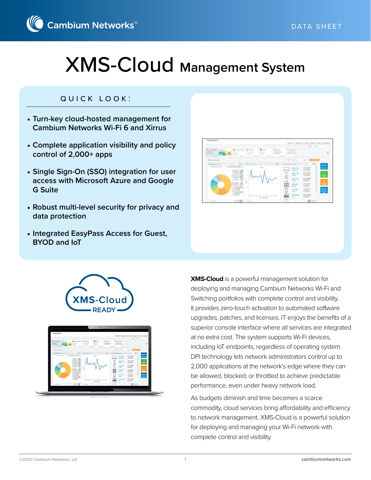

## quick look:

- **Turn-key cloud-hosted management for Cambium Networks Wi-Fi 6 and Xirrus**
- **Complete application visibility and policy control of 2,000+ apps**
- **Single Sign-On (SSO) integration for user access with Microsoft Azure and Google G Suite**
- **Robust multi-level security for privacy and data protection**
- **Integrated EasyPass Access for Guest, BYOD and IoT**







**XMS-Cloud** is a powerful management solution for deploying and managing Cambium Networks Wi-Fi and Switching portfolios with complete control and visibility. It provides zero-touch activation to automated software upgrades, patches, and licenses. IT enjoys the benefits of a superior console interface where all services are integrated at no extra cost. The system supports Wi-Fi devices, including IoT endpoints, regardless of operating system. DPI technology lets network administrators control up to 2,000 applications at the network's edge where they can be allowed, blocked, or throttled to achieve predictable performance, even under heavy network load.

As budgets diminish and time becomes a scarce commodity, cloud services bring affordability and efficiency to network management. XMS-Cloud is a powerful solution for deploying and managing your Wi-Fi network with complete control and visibility.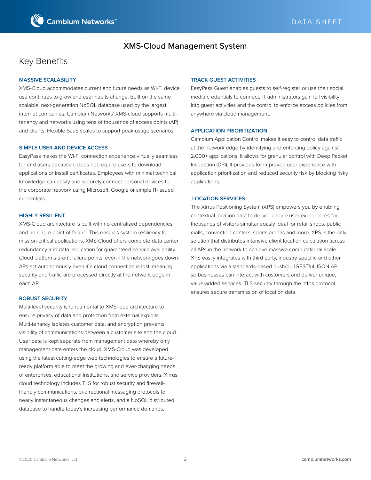

## Key Benefits

#### **MASSIVE SCALABILITY**

XMS-Cloud accommodates current and future needs as Wi-Fi device use continues to grow and user habits change. Built on the same scalable, next-generation NoSQL database used by the largest internet companies, Cambium Networks' XMS-cloud supports multitenancy and networks using tens of thousands of access points (AP) and clients. Flexible SaaS scales to support peak usage scenarios.

#### **SIMPLE USER AND DEVICE ACCESS**

EasyPass makes the Wi-Fi connection experience virtually seamless for end users because it does not require users to download applications or install certificates. Employees with minimal technical knowledge can easily and securely connect personal devices to the corporate network using Microsoft, Google or simple IT-issued credentials.

#### **HIGHLY RESILIENT**

XMS-Cloud architecture is built with no centralized dependencies and no single-point-of-failure. This ensures system resiliency for mission-critical applications. XMS-Cloud offers complete data center redundancy and data replication for guaranteed service availability. Cloud platforms aren't failure points, even if the network goes down-APs act autonomously even if a cloud connection is lost, meaning security and traffic are processed directly at the network edge in each AP.

#### **ROBUST SECURITY**

Multi-level security is fundamental to XMS-loud architecture to ensure privacy of data and protection from external exploits. Multi-tenancy isolates customer data, and encryption prevents visibility of communications between a customer site and the cloud. User data is kept separate from management data whereby only management data enters the cloud. XMS-Cloud was developed using the latest cutting-edge web technologies to ensure a futureready platform able to meet the growing and ever-changing needs of enterprises, educational institutions, and service providers. Xirrus cloud technology includes TLS for robust security and firewallfriendly communications, bi-directional messaging protocols for nearly instantaneous changes and alerts, and a NoSQL distributed database to handle today's increasing performance demands.

#### **TRACK GUEST ACTIVITIES**

EasyPass Guest enables guests to self-register or use their social media credentials to connect. IT administrators gain full visibility into guest activities and the control to enforce access policies from anywhere via cloud management.

#### **APPLICATION PRIORITIZATION**

Cambium Application Control makes it easy to control data traffic at the network edge by identifying and enforcing policy against 2,000+ applications. It allows for granular control with Deep Packet Inspection (DPI). It provides for improved user experience with application prioritization and reduced security risk by blocking risky applications.

#### **LOCATION SERVICES**

The Xirrus Positioning System (XPS) empowers you by enabling contextual location data to deliver unique user experiences for thousands of visitors simultaneously ideal for retail shops, public malls, convention centers, sports arenas and more. XPS is the only solution that distributes intensive client location calculation across all APs in the network to achieve massive computational scale. XPS easily integrates with third party, industry-specific and other applications via a standards-based push/pull RESTful JSON API so businesses can interact with customers and deliver unique, value-added services. TLS security through the https protocol ensures secure transmission of location data.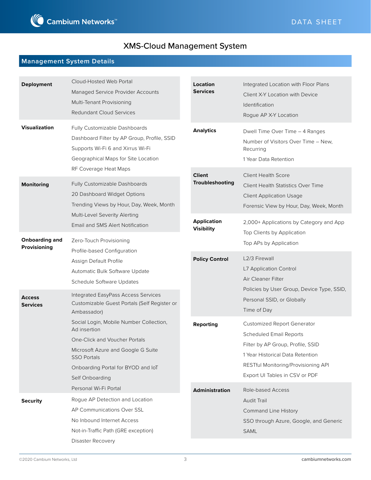

## **Management System Details**

| Deployment                            | Cloud-Hosted Web Portal<br>Managed Service Provider Accounts<br>Multi-Tenant Provisioning<br><b>Redundant Cloud Services</b>                                                                                  | Location<br><b>Services</b>             |                       | Integrated Location with Floor Plans<br>Client X-Y Location with Device<br>Identification<br>Rogue AP X-Y Location                                                                                                     |
|---------------------------------------|---------------------------------------------------------------------------------------------------------------------------------------------------------------------------------------------------------------|-----------------------------------------|-----------------------|------------------------------------------------------------------------------------------------------------------------------------------------------------------------------------------------------------------------|
| <b>Visualization</b>                  | Fully Customizable Dashboards<br>Dashboard Filter by AP Group, Profile, SSID<br>Supports Wi-Fi 6 and Xirrus Wi-Fi<br>Geographical Maps for Site Location                                                      | <b>Analytics</b>                        |                       | Dwell Time Over Time - 4 Ranges<br>Number of Visitors Over Time - New,<br>Recurring<br>1 Year Data Retention                                                                                                           |
| <b>Monitoring</b>                     | RF Coverage Heat Maps<br>Fully Customizable Dashboards<br>20 Dashboard Widget Options<br>Trending Views by Hour, Day, Week, Month                                                                             | <b>Client</b>                           | Troubleshooting       | <b>Client Health Score</b><br><b>Client Health Statistics Over Time</b><br><b>Client Application Usage</b><br>Forensic View by Hour, Day, Week, Month                                                                  |
| <b>Onboarding and</b><br>Provisioning | Multi-Level Severity Alerting<br>Email and SMS Alert Notification<br>Zero-Touch Provisioning                                                                                                                  | <b>Application</b><br><b>Visibility</b> |                       | 2,000+ Applications by Category and App<br>Top Clients by Application<br>Top APs by Application                                                                                                                        |
|                                       | Profile-based Configuration<br>Assign Default Profile<br>Automatic Bulk Software Update<br>Schedule Software Updates                                                                                          |                                         | <b>Policy Control</b> | L2/3 Firewall<br>L7 Application Control<br>Air Cleaner Filter<br>Policies by User Group, Device Type, SSID,                                                                                                            |
| <b>Access</b><br><b>Services</b>      | <b>Integrated EasyPass Access Services</b><br>Customizable Guest Portals (Self Register or<br>Ambassador)                                                                                                     |                                         |                       | Personal SSID, or Globally<br>Time of Day                                                                                                                                                                              |
|                                       | Social Login, Mobile Number Collection,<br>Ad insertion<br>One-Click and Voucher Portals<br>Microsoft Azure and Google G Suite<br><b>SSO Portals</b><br>Onboarding Portal for BYOD and IoT<br>Self Onboarding | Reporting                               |                       | <b>Customized Report Generator</b><br><b>Scheduled Email Reports</b><br>Filter by AP Group, Profile, SSID<br>1 Year Historical Data Retention<br>RESTful Monitoring/Provisioning API<br>Export UI Tables in CSV or PDF |
| <b>Security</b>                       | Personal Wi-Fi Portal<br>Rogue AP Detection and Location<br>AP Communications Over SSL<br>No Inbound Internet Access<br>Not-in-Traffic Path (GRE exception)<br>Disaster Recovery                              | <b>Administration</b>                   |                       | Role-based Access<br>Audit Trail<br><b>Command Line History</b><br>SSO through Azure, Google, and Generic<br>SAML                                                                                                      |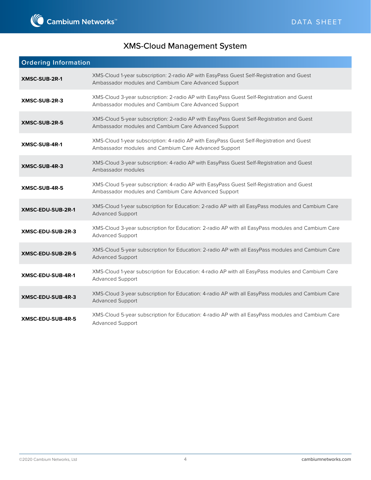

| <b>Ordering Information</b> |                                                                                                                                                   |  |
|-----------------------------|---------------------------------------------------------------------------------------------------------------------------------------------------|--|
| <b>XMSC-SUB-2R-1</b>        | XMS-Cloud 1-year subscription: 2-radio AP with EasyPass Guest Self-Registration and Guest<br>Ambassador modules and Cambium Care Advanced Support |  |
| XMSC-SUB-2R-3               | XMS-Cloud 3-year subscription: 2-radio AP with EasyPass Guest Self-Registration and Guest<br>Ambassador modules and Cambium Care Advanced Support |  |
| XMSC-SUB-2R-5               | XMS-Cloud 5-year subscription: 2-radio AP with EasyPass Guest Self-Registration and Guest<br>Ambassador modules and Cambium Care Advanced Support |  |
| XMSC-SUB-4R-1               | XMS-Cloud 1-year subscription: 4-radio AP with EasyPass Guest Self-Registration and Guest<br>Ambassador modules and Cambium Care Advanced Support |  |
| XMSC-SUB-4R-3               | XMS-Cloud 3-year subscription: 4-radio AP with EasyPass Guest Self-Registration and Guest<br>Ambassador modules                                   |  |
| XMSC-SUB-4R-5               | XMS-Cloud 5-year subscription: 4-radio AP with EasyPass Guest Self-Registration and Guest<br>Ambassador modules and Cambium Care Advanced Support |  |
| XMSC-EDU-SUB-2R-1           | XMS-Cloud 1-year subscription for Education: 2-radio AP with all EasyPass modules and Cambium Care<br>Advanced Support                            |  |
| XMSC-EDU-SUB-2R-3           | XMS-Cloud 3-year subscription for Education: 2-radio AP with all EasyPass modules and Cambium Care<br>Advanced Support                            |  |
| XMSC-EDU-SUB-2R-5           | XMS-Cloud 5-year subscription for Education: 2-radio AP with all EasyPass modules and Cambium Care<br><b>Advanced Support</b>                     |  |
| XMSC-EDU-SUB-4R-1           | XMS-Cloud 1-year subscription for Education: 4-radio AP with all EasyPass modules and Cambium Care<br>Advanced Support                            |  |
| XMSC-EDU-SUB-4R-3           | XMS-Cloud 3-year subscription for Education: 4-radio AP with all EasyPass modules and Cambium Care<br>Advanced Support                            |  |
| XMSC-EDU-SUB-4R-5           | XMS-Cloud 5-year subscription for Education: 4-radio AP with all EasyPass modules and Cambium Care<br>Advanced Support                            |  |